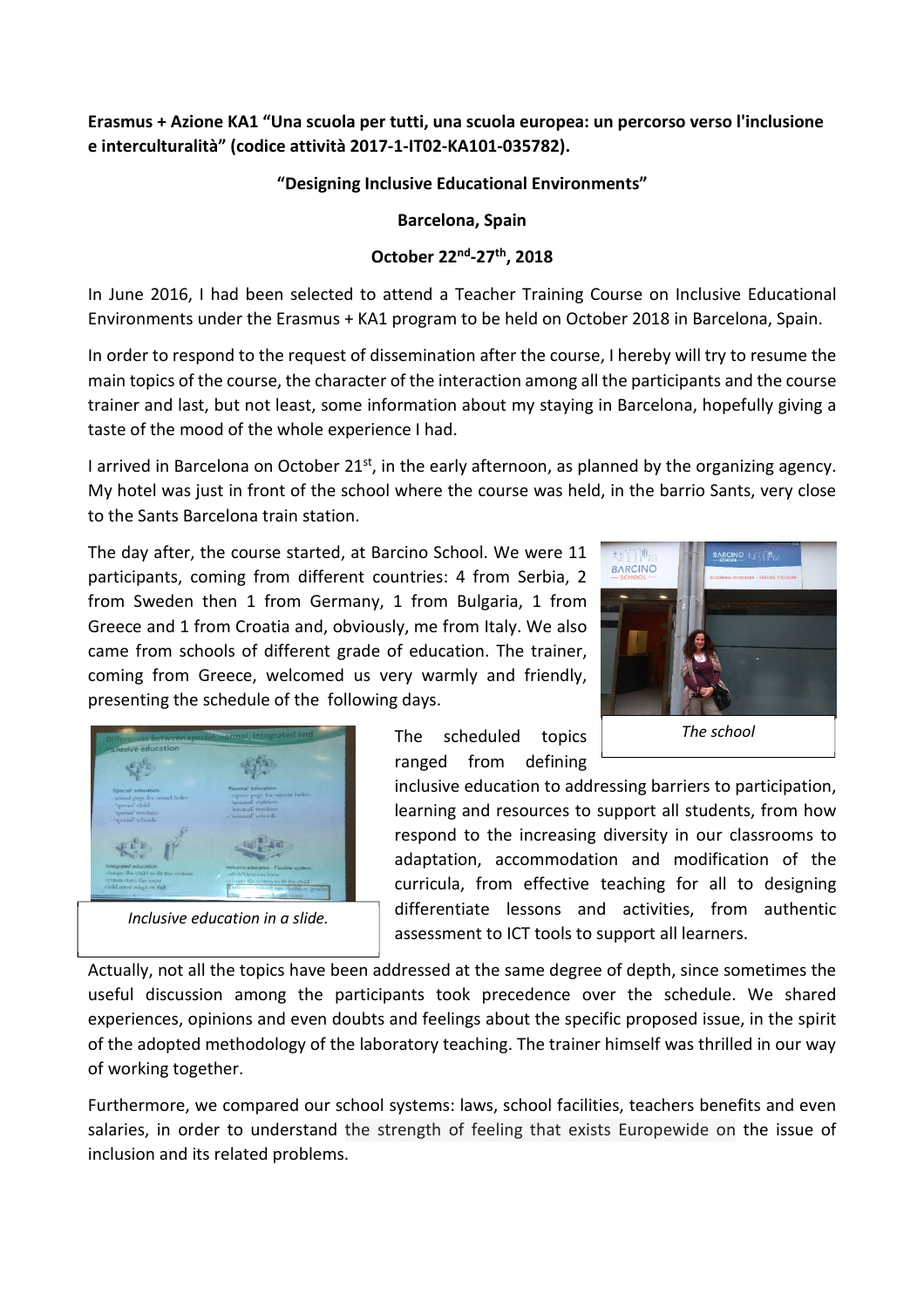## **Erasmus + Azione KA1 "Una scuola per tutti, una scuola europea: un percorso verso l'inclusione e interculturalità" (codice attività 2017-1-IT02-KA101-035782).**

**"Designing Inclusive Educational Environments"** 

**Barcelona, Spain** 

## **October 22nd-27th, 2018**

In June 2016, I had been selected to attend a Teacher Training Course on Inclusive Educational Environments under the Erasmus + KA1 program to be held on October 2018 in Barcelona, Spain.

In order to respond to the request of dissemination after the course, I hereby will try to resume the main topics of the course, the character of the interaction among all the participants and the course trainer and last, but not least, some information about my staying in Barcelona, hopefully giving a taste of the mood of the whole experience I had.

I arrived in Barcelona on October 21<sup>st</sup>, in the early afternoon, as planned by the organizing agency. My hotel was just in front of the school where the course was held, in the barrio Sants, very close to the Sants Barcelona train station.

The day after, the course started, at Barcino School. We were 11 participants, coming from different countries: 4 from Serbia, 2 from Sweden then 1 from Germany, 1 from Bulgaria, 1 from Greece and 1 from Croatia and, obviously, me from Italy. We also came from schools of different grade of education. The trainer, coming from Greece, welcomed us very warmly and friendly, presenting the schedule of the following days.





*Inclusive education in a slide.*

The scheduled topics ranged from defining

inclusive education to addressing barriers to participation, learning and resources to support all students, from how

respond to the increasing diversity in our classrooms to adaptation, accommodation and modification of the curricula, from effective teaching for all to designing differentiate lessons and activities, from authentic assessment to ICT tools to support all learners.

Actually, not all the topics have been addressed at the same degree of depth, since sometimes the useful discussion among the participants took precedence over the schedule. We shared experiences, opinions and even doubts and feelings about the specific proposed issue, in the spirit of the adopted methodology of the laboratory teaching. The trainer himself was thrilled in our way of working together.

Furthermore, we compared our school systems: laws, school facilities, teachers benefits and even salaries, in order to understand the strength of feeling that exists Europewide on the issue of inclusion and its related problems.